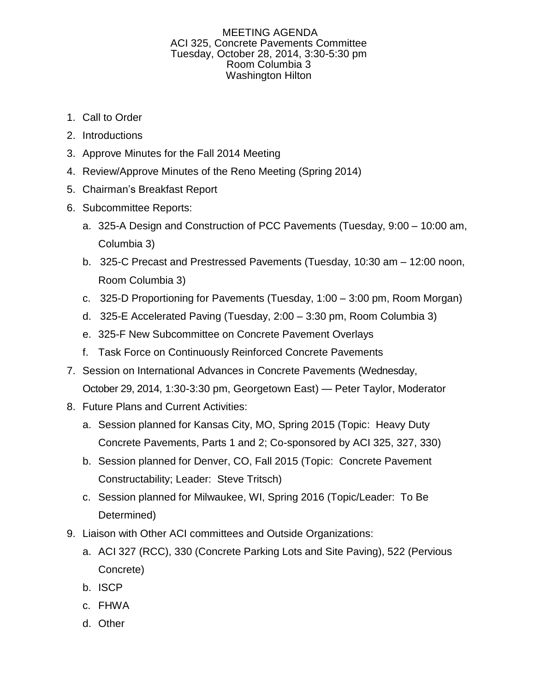## MEETING AGENDA ACI 325, Concrete Pavements Committee Tuesday, October 28, 2014, 3:30-5:30 pm Room Columbia 3 Washington Hilton

- 1. Call to Order
- 2. Introductions
- 3. Approve Minutes for the Fall 2014 Meeting
- 4. Review/Approve Minutes of the Reno Meeting (Spring 2014)
- 5. Chairman's Breakfast Report
- 6. Subcommittee Reports:
	- a. 325-A Design and Construction of PCC Pavements (Tuesday, 9:00 10:00 am, Columbia 3)
	- b. 325-C Precast and Prestressed Pavements (Tuesday, 10:30 am 12:00 noon, Room Columbia 3)
	- c. 325-D Proportioning for Pavements (Tuesday, 1:00 3:00 pm, Room Morgan)
	- d. 325-E Accelerated Paving (Tuesday, 2:00 3:30 pm, Room Columbia 3)
	- e. 325-F New Subcommittee on Concrete Pavement Overlays
	- f. Task Force on Continuously Reinforced Concrete Pavements
- 7. Session on International Advances in Concrete Pavements (Wednesday,
	- October 29, 2014, 1:30-3:30 pm, Georgetown East) Peter Taylor, Moderator
- 8. Future Plans and Current Activities:
	- a. Session planned for Kansas City, MO, Spring 2015 (Topic: Heavy Duty Concrete Pavements, Parts 1 and 2; Co-sponsored by ACI 325, 327, 330)
	- b. Session planned for Denver, CO, Fall 2015 (Topic: Concrete Pavement Constructability; Leader: Steve Tritsch)
	- c. Session planned for Milwaukee, WI, Spring 2016 (Topic/Leader: To Be Determined)
- 9. Liaison with Other ACI committees and Outside Organizations:
	- a. ACI 327 (RCC), 330 (Concrete Parking Lots and Site Paving), 522 (Pervious Concrete)
	- b. ISCP
	- c. FHWA
	- d. Other